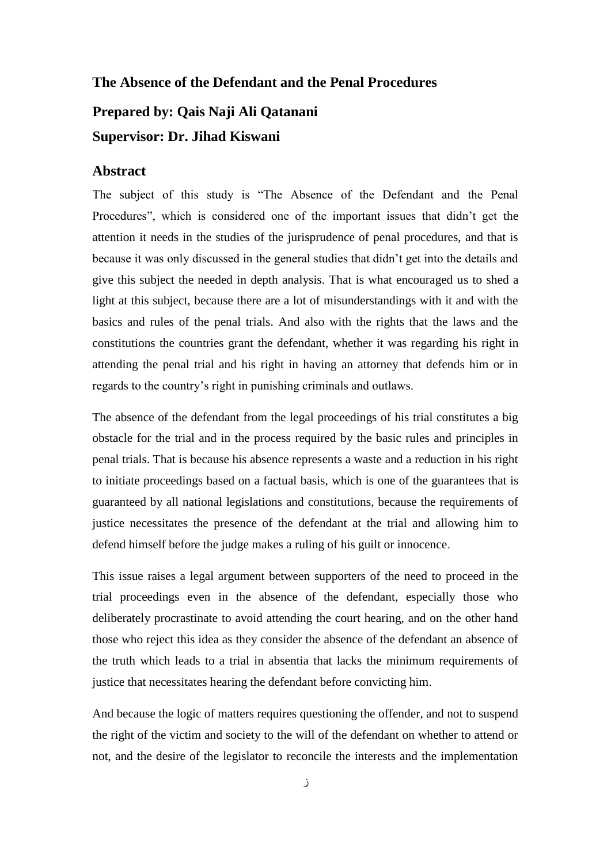## **The Absence of the Defendant and the Penal Procedures**

## **Prepared by: Qais Naji Ali Qatanani Supervisor: Dr. Jihad Kiswani**

## **Abstract**

The subject of this study is "The Absence of the Defendant and the Penal Procedures", which is considered one of the important issues that didn't get the attention it needs in the studies of the jurisprudence of penal procedures, and that is because it was only discussed in the general studies that didn't get into the details and give this subject the needed in depth analysis. That is what encouraged us to shed a light at this subject, because there are a lot of misunderstandings with it and with the basics and rules of the penal trials. And also with the rights that the laws and the constitutions the countries grant the defendant, whether it was regarding his right in attending the penal trial and his right in having an attorney that defends him or in regards to the country's right in punishing criminals and outlaws.

The absence of the defendant from the legal proceedings of his trial constitutes a big obstacle for the trial and in the process required by the basic rules and principles in penal trials. That is because his absence represents a waste and a reduction in his right to initiate proceedings based on a factual basis, which is one of the guarantees that is guaranteed by all national legislations and constitutions, because the requirements of justice necessitates the presence of the defendant at the trial and allowing him to defend himself before the judge makes a ruling of his guilt or innocence.

This issue raises a legal argument between supporters of the need to proceed in the trial proceedings even in the absence of the defendant, especially those who deliberately procrastinate to avoid attending the court hearing, and on the other hand those who reject this idea as they consider the absence of the defendant an absence of the truth which leads to a trial in absentia that lacks the minimum requirements of justice that necessitates hearing the defendant before convicting him.

And because the logic of matters requires questioning the offender, and not to suspend the right of the victim and society to the will of the defendant on whether to attend or not, and the desire of the legislator to reconcile the interests and the implementation